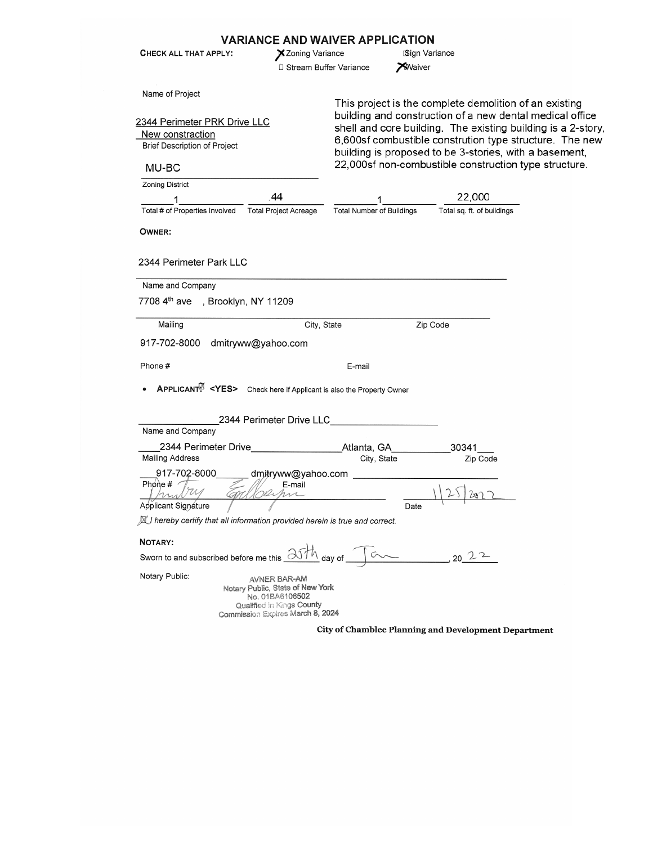|                                                                                                                     |                                                                                                                                      | <b>VARIANCE AND WAIVER APPLICATION</b>                                                                                                                                                                                                                                                                                                                           |                            |  |
|---------------------------------------------------------------------------------------------------------------------|--------------------------------------------------------------------------------------------------------------------------------------|------------------------------------------------------------------------------------------------------------------------------------------------------------------------------------------------------------------------------------------------------------------------------------------------------------------------------------------------------------------|----------------------------|--|
| CHECK ALL THAT APPLY:                                                                                               | X Zoning Variance                                                                                                                    |                                                                                                                                                                                                                                                                                                                                                                  | Sign Variance              |  |
|                                                                                                                     | □ Stream Buffer Variance                                                                                                             | <b>X</b> Waiver                                                                                                                                                                                                                                                                                                                                                  |                            |  |
| Name of Project<br>2344 Perimeter PRK Drive LLC<br>New constraction<br><b>Brief Description of Project</b><br>MU-BC |                                                                                                                                      | This project is the complete demolition of an existing<br>building and construction of a new dental medical office<br>shell and core building. The existing building is a 2-story,<br>6,600sf combustible constrution type structure. The new<br>building is proposed to be 3-stories, with a basement,<br>22,000sf non-combustible construction type structure. |                            |  |
| Zoning District                                                                                                     |                                                                                                                                      |                                                                                                                                                                                                                                                                                                                                                                  |                            |  |
|                                                                                                                     | .44                                                                                                                                  |                                                                                                                                                                                                                                                                                                                                                                  | 22,000                     |  |
| Total # of Properties Involved                                                                                      | <b>Total Project Acreage</b>                                                                                                         | <b>Total Number of Buildings</b>                                                                                                                                                                                                                                                                                                                                 | Total sq. ft. of buildings |  |
| <b>OWNER:</b>                                                                                                       |                                                                                                                                      |                                                                                                                                                                                                                                                                                                                                                                  |                            |  |
|                                                                                                                     |                                                                                                                                      |                                                                                                                                                                                                                                                                                                                                                                  |                            |  |
| 2344 Perimeter Park LLC                                                                                             |                                                                                                                                      |                                                                                                                                                                                                                                                                                                                                                                  |                            |  |
|                                                                                                                     |                                                                                                                                      |                                                                                                                                                                                                                                                                                                                                                                  |                            |  |
| Name and Company                                                                                                    |                                                                                                                                      |                                                                                                                                                                                                                                                                                                                                                                  |                            |  |
| 7708 4 <sup>th</sup> ave , Brooklyn, NY 11209                                                                       |                                                                                                                                      |                                                                                                                                                                                                                                                                                                                                                                  |                            |  |
| Mailing                                                                                                             | City, State                                                                                                                          |                                                                                                                                                                                                                                                                                                                                                                  | Zip Code                   |  |
|                                                                                                                     |                                                                                                                                      |                                                                                                                                                                                                                                                                                                                                                                  |                            |  |
| 917-702-8000 dmitryww@yahoo.com                                                                                     |                                                                                                                                      |                                                                                                                                                                                                                                                                                                                                                                  |                            |  |
| Phone #                                                                                                             |                                                                                                                                      | E-mail                                                                                                                                                                                                                                                                                                                                                           |                            |  |
| APPLICANT <sup>2</sup> <yes> Check here if Applicant is also the Property Owner</yes>                               |                                                                                                                                      |                                                                                                                                                                                                                                                                                                                                                                  |                            |  |
|                                                                                                                     |                                                                                                                                      |                                                                                                                                                                                                                                                                                                                                                                  |                            |  |
|                                                                                                                     | 2344 Perimeter Drive LLC                                                                                                             |                                                                                                                                                                                                                                                                                                                                                                  |                            |  |
| Name and Company                                                                                                    |                                                                                                                                      |                                                                                                                                                                                                                                                                                                                                                                  |                            |  |
| 2344 Perimeter Drive                                                                                                |                                                                                                                                      | Atlanta, GA                                                                                                                                                                                                                                                                                                                                                      | 30341                      |  |
| <b>Mailing Address</b>                                                                                              |                                                                                                                                      | City, State                                                                                                                                                                                                                                                                                                                                                      | Zip Code                   |  |
| 917-702-8000<br>Phone #<br>Applicant Signáture                                                                      | dmitryww@yahoo.com<br>E-mail<br>m                                                                                                    | Date                                                                                                                                                                                                                                                                                                                                                             |                            |  |
| $\mathbb X$ I hereby certify that all information provided herein is true and correct.                              |                                                                                                                                      |                                                                                                                                                                                                                                                                                                                                                                  |                            |  |
|                                                                                                                     |                                                                                                                                      |                                                                                                                                                                                                                                                                                                                                                                  |                            |  |
| NOTARY:<br>Sworn to and subscribed before me this $\frac{\partial}{\partial \psi}$ day of $\text{Cov}$              |                                                                                                                                      |                                                                                                                                                                                                                                                                                                                                                                  |                            |  |
|                                                                                                                     |                                                                                                                                      |                                                                                                                                                                                                                                                                                                                                                                  | $20^2$                     |  |
| Notary Public:                                                                                                      | AVNER BAR-AM<br>Notary Public, State of New York<br>No. 01BA6106502<br>Qualified in Kings County<br>Commission Expires March 8, 2024 |                                                                                                                                                                                                                                                                                                                                                                  |                            |  |

City of Chamblee Planning and Development Department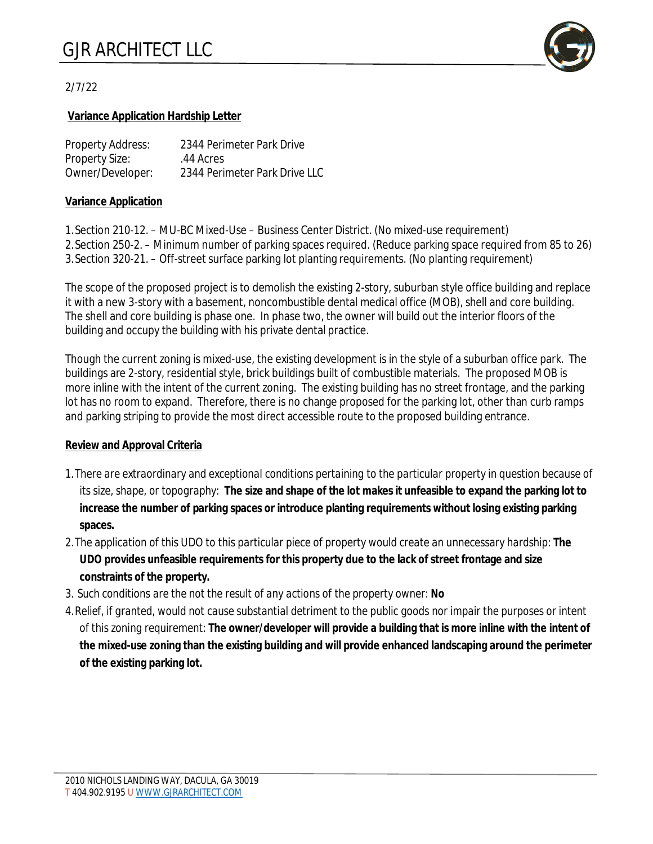

# 2/7/22

### **Variance Application Hardship Letter**

| Property Address: | 2344 Perimeter Park Drive     |
|-------------------|-------------------------------|
| Property Size:    | .44 Acres                     |
| Owner/Developer:  | 2344 Perimeter Park Drive LLC |

### **Variance Application**

1.Section 210-12. – MU-BC Mixed-Use – Business Center District. (No mixed-use requirement) 2.Section 250-2. – Minimum number of parking spaces required. (Reduce parking space required from 85 to 26) 3.Section 320-21. – Off-street surface parking lot planting requirements. (No planting requirement)

The scope of the proposed project is to demolish the existing 2-story, suburban style office building and replace it with a new 3-story with a basement, noncombustible dental medical office (MOB), shell and core building. The shell and core building is phase one. In phase two, the owner will build out the interior floors of the building and occupy the building with his private dental practice.

Though the current zoning is mixed-use, the existing development is in the style of a suburban office park. The buildings are 2-story, residential style, brick buildings built of combustible materials. The proposed MOB is more inline with the intent of the current zoning. The existing building has no street frontage, and the parking lot has no room to expand. Therefore, there is no change proposed for the parking lot, other than curb ramps and parking striping to provide the most direct accessible route to the proposed building entrance.

#### **Review and Approval Criteria**

- *1.There are extraordinary and exceptional conditions pertaining to the particular property in question because of its size, shape, or topography:* **The size and shape of the lot makes it unfeasible to expand the parking lot to increase the number of parking spaces or introduce planting requirements without losing existing parking spaces.**
- *2.The application of this UDO to this particular piece of property would create an unnecessary hardship:* **The UDO provides unfeasible requirements for this property due to the lack of street frontage and size constraints of the property.**
- *3. Such conditions are the not the result of any actions of the property owner: No*
- *4.Relief, if granted, would not cause substantial detriment to the public goods nor impair the purposes or intent of this zoning requirement:* **The owner/developer will provide a building that is more inline with the intent of the mixed-use zoning than the existing building and will provide enhanced landscaping around the perimeter of the existing parking lot.**